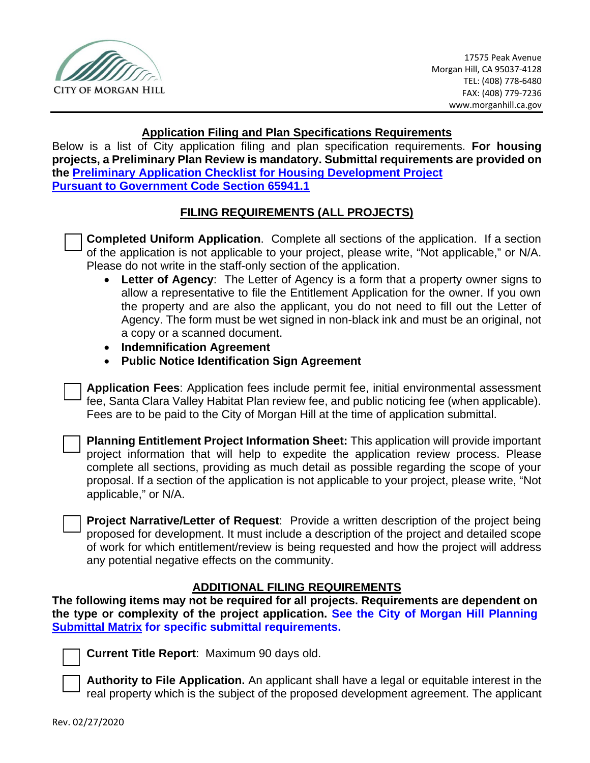

### **Application Filing and Plan Specifications Requirements**

Below is a list of City application filing and plan specification requirements. **For housing projects, a Preliminary Plan Review is mandatory. Submittal requirements are provided on the [Preliminary Application Checklist for Housing Development Project](https://www.morgan-hill.ca.gov/DocumentCenter/View/35927/Preliminary-Application-Checklist-for-Housing-Development-Projects) [Pursuant to Government Code Section 65941.1](https://www.morgan-hill.ca.gov/DocumentCenter/View/35927/Preliminary-Application-Checklist-for-Housing-Development-Projects)**

### **FILING REQUIREMENTS (ALL PROJECTS)**

**Completed Uniform Application.** Complete all sections of the application. If a section of the application is not applicable to your project, please write, "Not applicable," or N/A. Please do not write in the staff-only section of the application.

- **Letter of Agency**: The Letter of Agency is a form that a property owner signs to allow a representative to file the Entitlement Application for the owner. If you own the property and are also the applicant, you do not need to fill out the Letter of Agency. The form must be wet signed in non-black ink and must be an original, not a copy or a scanned document.
- **Indemnification Agreement**
- **Public Notice Identification Sign Agreement**

Application Fees: Application fees include permit fee, initial environmental assessment fee, Santa Clara Valley Habitat Plan review fee, and public noticing fee (when applicable). Fees are to be paid to the City of Morgan Hill at the time of application submittal.

**Planning Entitlement Project Information Sheet:** This application will provide important project information that will help to expedite the application review process. Please complete all sections, providing as much detail as possible regarding the scope of your proposal. If a section of the application is not applicable to your project, please write, "Not applicable," or N/A.

**Project Narrative/Letter of Request:** Provide a written description of the project being proposed for development. It must include a description of the project and detailed scope of work for which entitlement/review is being requested and how the project will address any potential negative effects on the community.

### **ADDITIONAL FILING REQUIREMENTS**

**The following items may not be required for all projects. Requirements are dependent on the type or complexity of the project application. See the City of Morgan Hill Planning Submittal Matrix for specific submittal requirements.** 



**Current Title Report: Maximum 90 days old.** 

**Authority to File Application.** An applicant shall have a legal or equitable interest in the real property which is the subject of the proposed development agreement. The applicant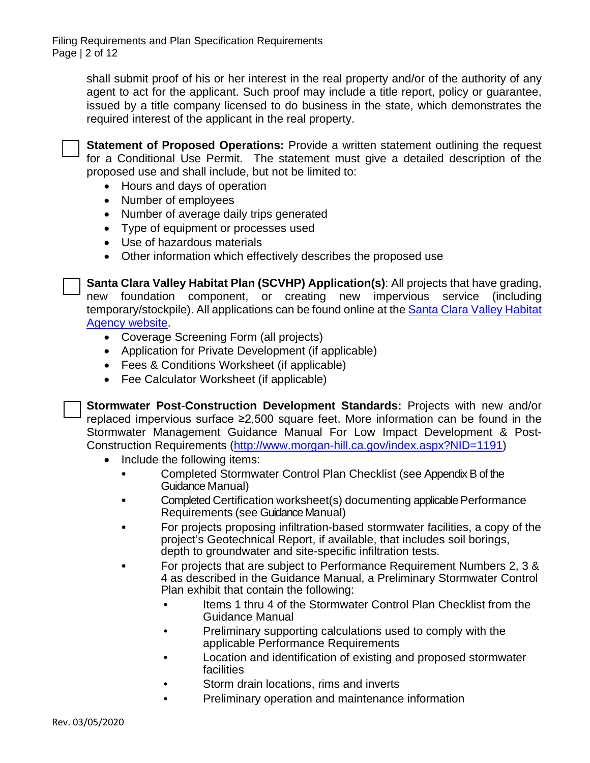shall submit proof of his or her interest in the real property and/or of the authority of any agent to act for the applicant. Such proof may include a title report, policy or guarantee, issued by a title company licensed to do business in the state, which demonstrates the required interest of the applicant in the real property.



**Statement of Proposed Operations:** Provide a written statement outlining the request for a Conditional Use Permit. The statement must give a detailed description of the proposed use and shall include, but not be limited to:

- Hours and days of operation
- Number of employees
- Number of average daily trips generated
- Type of equipment or processes used
- Use of hazardous materials
- Other information which effectively describes the proposed use

**Santa Clara Valley Habitat Plan (SCVHP) Application(s): All projects that have grading,** new foundation component, or creating new impervious service (including temporary/stockpile). All applications can be found online at th[e Santa Clara Valley Habitat](https://scv-habitatagency.org/278/Public-Agencies)  [Agency website.](https://scv-habitatagency.org/278/Public-Agencies)

- Coverage Screening Form (all projects)
- Application for Private Development (if applicable)
- Fees & Conditions Worksheet (if applicable)
- Fee Calculator Worksheet (if applicable)

o **Stormwater Post**-**Construction Development Standards:** Projects with new and/or replaced impervious surface ≥2,500 square feet. More information can be found in the Stormwater Management Guidance Manual For Low Impact Development & Post-Construction Requirements [\(http://www.morgan-hill.ca.gov/index.aspx?NID=1191\)](http://www.morgan-hill.ca.gov/index.aspx?NID=1191)

- Include the following items:
	- **Examplem Completed Stormwater Control Plan Checklist (see Appendix B of the** Guidance Manual)
	- **Examplem Completed Certification worksheet(s) documenting applicable Performance** Requirements (see Guidance Manual)
	- For projects proposing infiltration-based stormwater facilities, a copy of the project's Geotechnical Report, if available, that includes soil borings, depth to groundwater and site-specific infiltration tests.
	- For projects that are subject to Performance Requirement Numbers 2, 3 & 4 as described in the Guidance Manual, a Preliminary Stormwater Control Plan exhibit that contain the following:
		- Items 1 thru 4 of the Stormwater Control Plan Checklist from the Guidance Manual
		- Preliminary supporting calculations used to comply with the applicable Performance Requirements
		- Location and identification of existing and proposed stormwater facilities
		- Storm drain locations, rims and inverts
		- Preliminary operation and maintenance information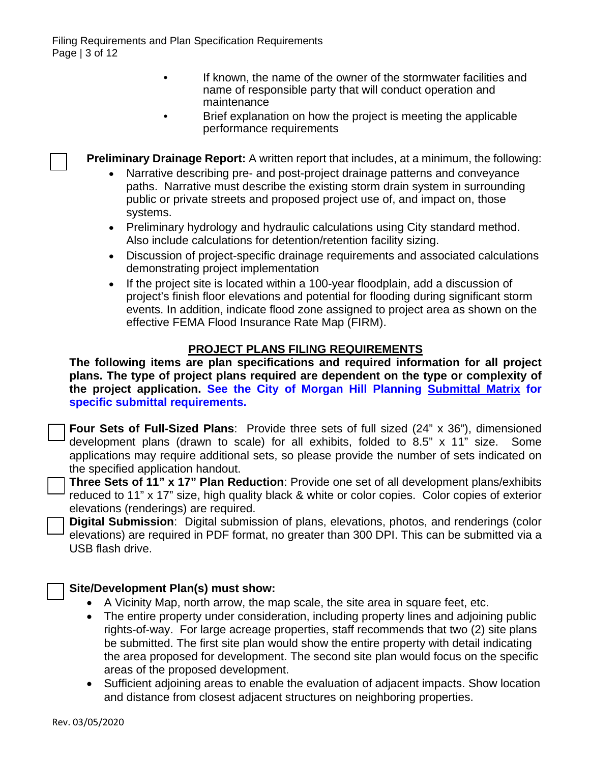- If known, the name of the owner of the stormwater facilities and name of responsible party that will conduct operation and maintenance
- Brief explanation on how the project is meeting the applicable performance requirements

**Preliminary Drainage Report:** A written report that includes, at a minimum, the following:

- Narrative describing pre- and post-project drainage patterns and conveyance paths. Narrative must describe the existing storm drain system in surrounding public or private streets and proposed project use of, and impact on, those systems.
- Preliminary hydrology and hydraulic calculations using City standard method. Also include calculations for detention/retention facility sizing.
- Discussion of project-specific drainage requirements and associated calculations demonstrating project implementation
- If the project site is located within a 100-year floodplain, add a discussion of project's finish floor elevations and potential for flooding during significant storm events. In addition, indicate flood zone assigned to project area as shown on the effective FEMA Flood Insurance Rate Map (FIRM).

# **PROJECT PLANS FILING REQUIREMENTS**

**The following items are plan specifications and required information for all project plans. The type of project plans required are dependent on the type or complexity of the project application. See the City of Morgan Hill Planning Submittal Matrix for specific submittal requirements.**

**Four Sets of Full-Sized Plans:** Provide three sets of full sized (24" x 36"), dimensioned development plans (drawn to scale) for all exhibits, folded to 8.5" x 11" size. Some applications may require additional sets, so please provide the number of sets indicated on the specified application handout.

**Three Sets of 11" x 17" Plan Reduction**: Provide one set of all development plans/exhibits reduced to 11" x 17" size, high quality black & white or color copies. Color copies of exterior elevations (renderings) are required.

**Digital Submission**: Digital submission of plans, elevations, photos, and renderings (color elevations) are required in PDF format, no greater than 300 DPI. This can be submitted via a USB flash drive.

### o **Site/Development Plan(s) must show:**

- A Vicinity Map, north arrow, the map scale, the site area in square feet, etc.
- The entire property under consideration, including property lines and adjoining public rights-of-way. For large acreage properties, staff recommends that two (2) site plans be submitted. The first site plan would show the entire property with detail indicating the area proposed for development. The second site plan would focus on the specific areas of the proposed development.
- Sufficient adjoining areas to enable the evaluation of adjacent impacts. Show location and distance from closest adjacent structures on neighboring properties.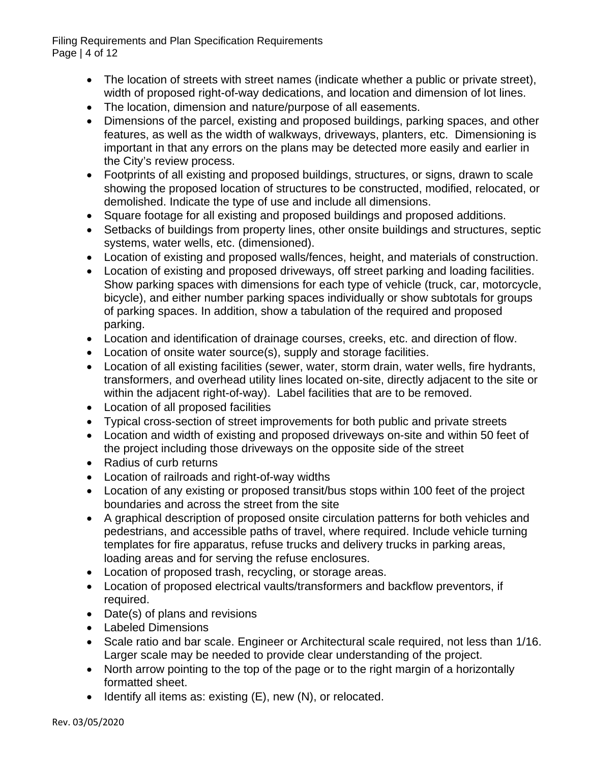Filing Requirements and Plan Specification Requirements Page | 4 of 12

- The location of streets with street names (indicate whether a public or private street), width of proposed right-of-way dedications, and location and dimension of lot lines.
- The location, dimension and nature/purpose of all easements.
- Dimensions of the parcel, existing and proposed buildings, parking spaces, and other features, as well as the width of walkways, driveways, planters, etc. Dimensioning is important in that any errors on the plans may be detected more easily and earlier in the City's review process.
- Footprints of all existing and proposed buildings, structures, or signs, drawn to scale showing the proposed location of structures to be constructed, modified, relocated, or demolished. Indicate the type of use and include all dimensions.
- Square footage for all existing and proposed buildings and proposed additions.
- Setbacks of buildings from property lines, other onsite buildings and structures, septic systems, water wells, etc. (dimensioned).
- Location of existing and proposed walls/fences, height, and materials of construction.
- Location of existing and proposed driveways, off street parking and loading facilities. Show parking spaces with dimensions for each type of vehicle (truck, car, motorcycle, bicycle), and either number parking spaces individually or show subtotals for groups of parking spaces. In addition, show a tabulation of the required and proposed parking.
- Location and identification of drainage courses, creeks, etc. and direction of flow.
- Location of onsite water source(s), supply and storage facilities.
- Location of all existing facilities (sewer, water, storm drain, water wells, fire hydrants, transformers, and overhead utility lines located on-site, directly adjacent to the site or within the adjacent right-of-way). Label facilities that are to be removed.
- Location of all proposed facilities
- Typical cross-section of street improvements for both public and private streets
- Location and width of existing and proposed driveways on-site and within 50 feet of the project including those driveways on the opposite side of the street
- Radius of curb returns
- Location of railroads and right-of-way widths
- Location of any existing or proposed transit/bus stops within 100 feet of the project boundaries and across the street from the site
- A graphical description of proposed onsite circulation patterns for both vehicles and pedestrians, and accessible paths of travel, where required. Include vehicle turning templates for fire apparatus, refuse trucks and delivery trucks in parking areas, loading areas and for serving the refuse enclosures.
- Location of proposed trash, recycling, or storage areas.
- Location of proposed electrical vaults/transformers and backflow preventors, if required.
- Date(s) of plans and revisions
- Labeled Dimensions
- Scale ratio and bar scale. Engineer or Architectural scale required, not less than 1/16. Larger scale may be needed to provide clear understanding of the project.
- North arrow pointing to the top of the page or to the right margin of a horizontally formatted sheet.
- Identify all items as: existing (E), new (N), or relocated.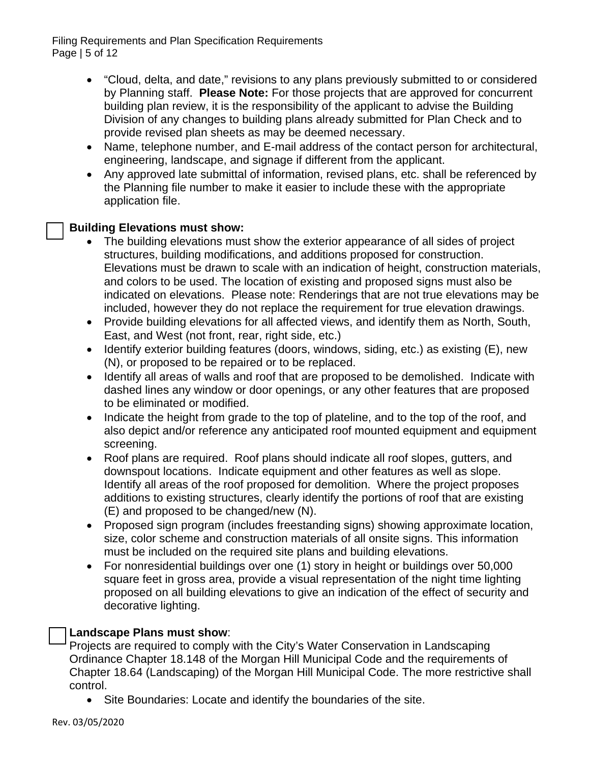Filing Requirements and Plan Specification Requirements Page | 5 of 12

- "Cloud, delta, and date," revisions to any plans previously submitted to or considered by Planning staff. **Please Note:** For those projects that are approved for concurrent building plan review, it is the responsibility of the applicant to advise the Building Division of any changes to building plans already submitted for Plan Check and to provide revised plan sheets as may be deemed necessary.
- Name, telephone number, and E-mail address of the contact person for architectural, engineering, landscape, and signage if different from the applicant.
- Any approved late submittal of information, revised plans, etc. shall be referenced by the Planning file number to make it easier to include these with the appropriate application file.

## **Building Elevations must show:**

- The building elevations must show the exterior appearance of all sides of project structures, building modifications, and additions proposed for construction. Elevations must be drawn to scale with an indication of height, construction materials, and colors to be used. The location of existing and proposed signs must also be indicated on elevations. Please note: Renderings that are not true elevations may be included, however they do not replace the requirement for true elevation drawings.
- Provide building elevations for all affected views, and identify them as North, South, East, and West (not front, rear, right side, etc.)
- Identify exterior building features (doors, windows, siding, etc.) as existing (E), new (N), or proposed to be repaired or to be replaced.
- Identify all areas of walls and roof that are proposed to be demolished. Indicate with dashed lines any window or door openings, or any other features that are proposed to be eliminated or modified.
- Indicate the height from grade to the top of plateline, and to the top of the roof, and also depict and/or reference any anticipated roof mounted equipment and equipment screening.
- Roof plans are required. Roof plans should indicate all roof slopes, gutters, and downspout locations. Indicate equipment and other features as well as slope. Identify all areas of the roof proposed for demolition. Where the project proposes additions to existing structures, clearly identify the portions of roof that are existing (E) and proposed to be changed/new (N).
- Proposed sign program (includes freestanding signs) showing approximate location, size, color scheme and construction materials of all onsite signs. This information must be included on the required site plans and building elevations.
- For nonresidential buildings over one (1) story in height or buildings over 50,000 square feet in gross area, provide a visual representation of the night time lighting proposed on all building elevations to give an indication of the effect of security and decorative lighting.

### Landscape Plans must show:

Projects are required to comply with the City's Water Conservation in Landscaping Ordinance Chapter 18.148 of the Morgan Hill Municipal Code and the requirements of Chapter 18.64 (Landscaping) of the Morgan Hill Municipal Code. The more restrictive shall control.

• Site Boundaries: Locate and identify the boundaries of the site.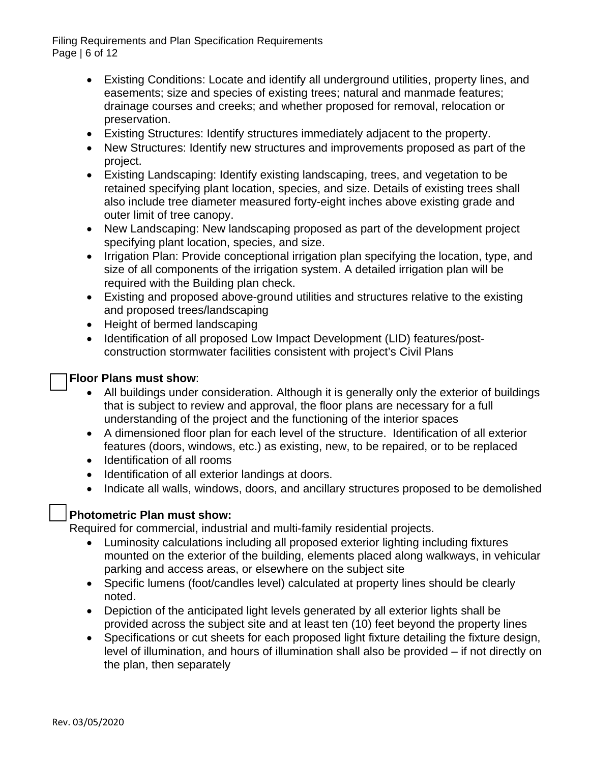Filing Requirements and Plan Specification Requirements Page | 6 of 12

- Existing Conditions: Locate and identify all underground utilities, property lines, and easements; size and species of existing trees; natural and manmade features; drainage courses and creeks; and whether proposed for removal, relocation or preservation.
- Existing Structures: Identify structures immediately adjacent to the property.
- New Structures: Identify new structures and improvements proposed as part of the project.
- Existing Landscaping: Identify existing landscaping, trees, and vegetation to be retained specifying plant location, species, and size. Details of existing trees shall also include tree diameter measured forty-eight inches above existing grade and outer limit of tree canopy.
- New Landscaping: New landscaping proposed as part of the development project specifying plant location, species, and size.
- Irrigation Plan: Provide conceptional irrigation plan specifying the location, type, and size of all components of the irrigation system. A detailed irrigation plan will be required with the Building plan check.
- Existing and proposed above-ground utilities and structures relative to the existing and proposed trees/landscaping
- Height of bermed landscaping
- Identification of all proposed Low Impact Development (LID) features/postconstruction stormwater facilities consistent with project's Civil Plans

## **Floor Plans must show:**

- All buildings under consideration. Although it is generally only the exterior of buildings that is subject to review and approval, the floor plans are necessary for a full understanding of the project and the functioning of the interior spaces
- A dimensioned floor plan for each level of the structure. Identification of all exterior features (doors, windows, etc.) as existing, new, to be repaired, or to be replaced
- Identification of all rooms
- Identification of all exterior landings at doors.
- Indicate all walls, windows, doors, and ancillary structures proposed to be demolished

# o **Photometric Plan must show:**

Required for commercial, industrial and multi-family residential projects.

- Luminosity calculations including all proposed exterior lighting including fixtures mounted on the exterior of the building, elements placed along walkways, in vehicular parking and access areas, or elsewhere on the subject site
- Specific lumens (foot/candles level) calculated at property lines should be clearly noted.
- Depiction of the anticipated light levels generated by all exterior lights shall be provided across the subject site and at least ten (10) feet beyond the property lines
- Specifications or cut sheets for each proposed light fixture detailing the fixture design, level of illumination, and hours of illumination shall also be provided – if not directly on the plan, then separately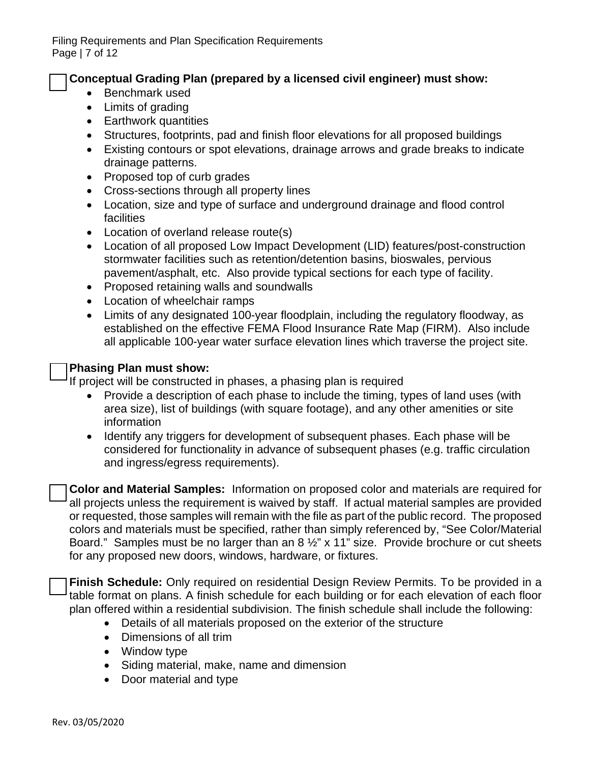**Conceptual Grading Plan (prepared by a licensed civil engineer) must show:** 

- Benchmark used
- Limits of grading
- Earthwork quantities
- Structures, footprints, pad and finish floor elevations for all proposed buildings
- Existing contours or spot elevations, drainage arrows and grade breaks to indicate drainage patterns.
- Proposed top of curb grades
- Cross-sections through all property lines
- Location, size and type of surface and underground drainage and flood control facilities
- Location of overland release route(s)
- Location of all proposed Low Impact Development (LID) features/post-construction stormwater facilities such as retention/detention basins, bioswales, pervious pavement/asphalt, etc. Also provide typical sections for each type of facility.
- Proposed retaining walls and soundwalls
- Location of wheelchair ramps
- Limits of any designated 100-year floodplain, including the regulatory floodway, as established on the effective FEMA Flood Insurance Rate Map (FIRM). Also include all applicable 100-year water surface elevation lines which traverse the project site.

#### **Phasing Plan must show:**

If project will be constructed in phases, a phasing plan is required

- Provide a description of each phase to include the timing, types of land uses (with area size), list of buildings (with square footage), and any other amenities or site information
- Identify any triggers for development of subsequent phases. Each phase will be considered for functionality in advance of subsequent phases (e.g. traffic circulation and ingress/egress requirements).

**Color and Material Samples:** Information on proposed color and materials are required for all projects unless the requirement is waived by staff. If actual material samples are provided or requested, those samples will remain with the file as part of the public record. The proposed colors and materials must be specified, rather than simply referenced by, "See Color/Material Board." Samples must be no larger than an 8 ½" x 11" size. Provide brochure or cut sheets for any proposed new doors, windows, hardware, or fixtures.

**Finish Schedule:** Only required on residential Design Review Permits. To be provided in a table format on plans. A finish schedule for each building or for each elevation of each floor plan offered within a residential subdivision. The finish schedule shall include the following:

- Details of all materials proposed on the exterior of the structure
- Dimensions of all trim
- Window type
- Siding material, make, name and dimension
- Door material and type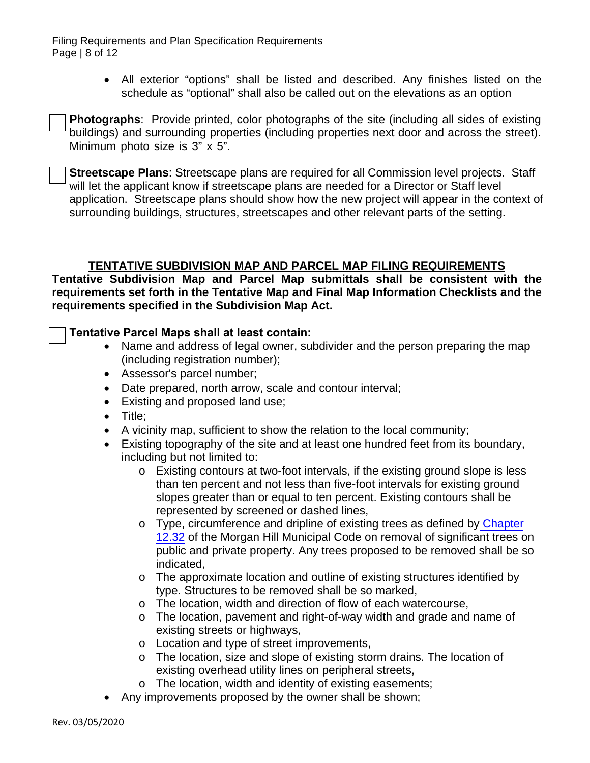Filing Requirements and Plan Specification Requirements Page | 8 of 12

> • All exterior "options" shall be listed and described. Any finishes listed on the schedule as "optional" shall also be called out on the elevations as an option

**Photographs**: Provide printed, color photographs of the site (including all sides of existing buildings) and surrounding properties (including properties next door and across the street). Minimum photo size is 3" x 5".

**Streetscape Plans**: Streetscape plans are required for all Commission level projects. Staff will let the applicant know if streetscape plans are needed for a Director or Staff level application. Streetscape plans should show how the new project will appear in the context of surrounding buildings, structures, streetscapes and other relevant parts of the setting.

## **TENTATIVE SUBDIVISION MAP AND PARCEL MAP FILING REQUIREMENTS**

**Tentative Subdivision Map and Parcel Map submittals shall be consistent with the requirements set forth in the Tentative Map and Final Map Information Checklists and the requirements specified in the Subdivision Map Act.**

### **Tentative Parcel Maps shall at least contain:**

- Name and address of legal owner, subdivider and the person preparing the map (including registration number);
- Assessor's parcel number;
- Date prepared, north arrow, scale and contour interval;
- Existing and proposed land use;
- Title;
- A vicinity map, sufficient to show the relation to the local community;
- Existing topography of the site and at least one hundred feet from its boundary, including but not limited to:
	- o Existing contours at two-foot intervals, if the existing ground slope is less than ten percent and not less than five-foot intervals for existing ground slopes greater than or equal to ten percent. Existing contours shall be represented by screened or dashed lines,
	- o Type, circumference and dripline of existing trees as defined by [Chapter](https://library.municode.com/ca/morgan_hill/codes/code_of_ordinances?nodeId=TIT12STSIPUPL_CH12.32RERESITR) [12.32](https://library.municode.com/ca/morgan_hill/codes/code_of_ordinances?nodeId=TIT12STSIPUPL_CH12.32RERESITR) of the Morgan Hill Municipal Code on removal of significant trees on public and private property. Any trees proposed to be removed shall be so indicated,
	- o The approximate location and outline of existing structures identified by type. Structures to be removed shall be so marked,
	- o The location, width and direction of flow of each watercourse,
	- o The location, pavement and right-of-way width and grade and name of existing streets or highways,
	- o Location and type of street improvements,
	- o The location, size and slope of existing storm drains. The location of existing overhead utility lines on peripheral streets,
	- o The location, width and identity of existing easements;
	- Any improvements proposed by the owner shall be shown;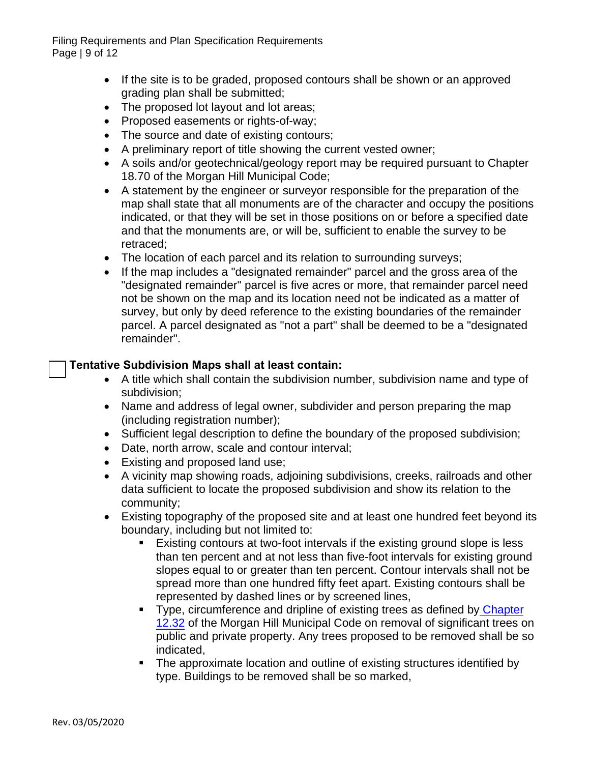Filing Requirements and Plan Specification Requirements Page | 9 of 12

- If the site is to be graded, proposed contours shall be shown or an approved grading plan shall be submitted;
- The proposed lot layout and lot areas;
- Proposed easements or rights-of-way;
- The source and date of existing contours;
- A preliminary report of title showing the current vested owner;
- A soils and/or geotechnical/geology report may be required pursuant to Chapter 18.70 of the Morgan Hill Municipal Code;
- A statement by the engineer or surveyor responsible for the preparation of the map shall state that all monuments are of the character and occupy the positions indicated, or that they will be set in those positions on or before a specified date and that the monuments are, or will be, sufficient to enable the survey to be retraced;
- The location of each parcel and its relation to surrounding surveys;
- If the map includes a "designated remainder" parcel and the gross area of the "designated remainder" parcel is five acres or more, that remainder parcel need not be shown on the map and its location need not be indicated as a matter of survey, but only by deed reference to the existing boundaries of the remainder parcel. A parcel designated as "not a part" shall be deemed to be a "designated remainder".

### **Tentative Subdivision Maps shall at least contain:**

- A title which shall contain the subdivision number, subdivision name and type of subdivision;
- Name and address of legal owner, subdivider and person preparing the map (including registration number);
- Sufficient legal description to define the boundary of the proposed subdivision;
- Date, north arrow, scale and contour interval;
- Existing and proposed land use;
- A vicinity map showing roads, adjoining subdivisions, creeks, railroads and other data sufficient to locate the proposed subdivision and show its relation to the community;
- Existing topography of the proposed site and at least one hundred feet beyond its boundary, including but not limited to:
	- Existing contours at two-foot intervals if the existing ground slope is less than ten percent and at not less than five-foot intervals for existing ground slopes equal to or greater than ten percent. Contour intervals shall not be spread more than one hundred fifty feet apart. Existing contours shall be represented by dashed lines or by screened lines,
	- Type, circumference and dripline of existing trees as defined by [Chapter](https://library.municode.com/ca/morgan_hill/codes/code_of_ordinances?nodeId=TIT12STSIPUPL_CH12.32RERESITR) [12.32](https://library.municode.com/ca/morgan_hill/codes/code_of_ordinances?nodeId=TIT12STSIPUPL_CH12.32RERESITR) of the Morgan Hill Municipal Code on removal of significant trees on public and private property. Any trees proposed to be removed shall be so indicated,
	- The approximate location and outline of existing structures identified by type. Buildings to be removed shall be so marked,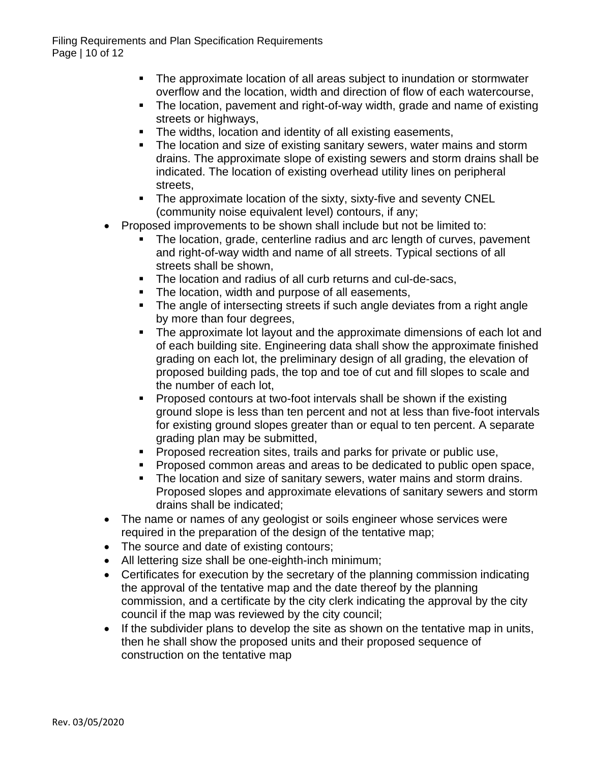- The approximate location of all areas subject to inundation or stormwater overflow and the location, width and direction of flow of each watercourse,
- The location, pavement and right-of-way width, grade and name of existing streets or highways,
- **The widths, location and identity of all existing easements,**
- The location and size of existing sanitary sewers, water mains and storm drains. The approximate slope of existing sewers and storm drains shall be indicated. The location of existing overhead utility lines on peripheral streets,
- The approximate location of the sixty, sixty-five and seventy CNEL (community noise equivalent level) contours, if any;
- Proposed improvements to be shown shall include but not be limited to:
	- The location, grade, centerline radius and arc length of curves, pavement and right-of-way width and name of all streets. Typical sections of all streets shall be shown,
	- The location and radius of all curb returns and cul-de-sacs,
	- The location, width and purpose of all easements,
	- The angle of intersecting streets if such angle deviates from a right angle by more than four degrees,
	- The approximate lot layout and the approximate dimensions of each lot and of each building site. Engineering data shall show the approximate finished grading on each lot, the preliminary design of all grading, the elevation of proposed building pads, the top and toe of cut and fill slopes to scale and the number of each lot,
	- **Proposed contours at two-foot intervals shall be shown if the existing** ground slope is less than ten percent and not at less than five-foot intervals for existing ground slopes greater than or equal to ten percent. A separate grading plan may be submitted,
	- **Proposed recreation sites, trails and parks for private or public use,**
	- **Proposed common areas and areas to be dedicated to public open space,**
	- The location and size of sanitary sewers, water mains and storm drains. Proposed slopes and approximate elevations of sanitary sewers and storm drains shall be indicated;
- The name or names of any geologist or soils engineer whose services were required in the preparation of the design of the tentative map;
- The source and date of existing contours;
- All lettering size shall be one-eighth-inch minimum;
- Certificates for execution by the secretary of the planning commission indicating the approval of the tentative map and the date thereof by the planning commission, and a certificate by the city clerk indicating the approval by the city council if the map was reviewed by the city council;
- If the subdivider plans to develop the site as shown on the tentative map in units, then he shall show the proposed units and their proposed sequence of construction on the tentative map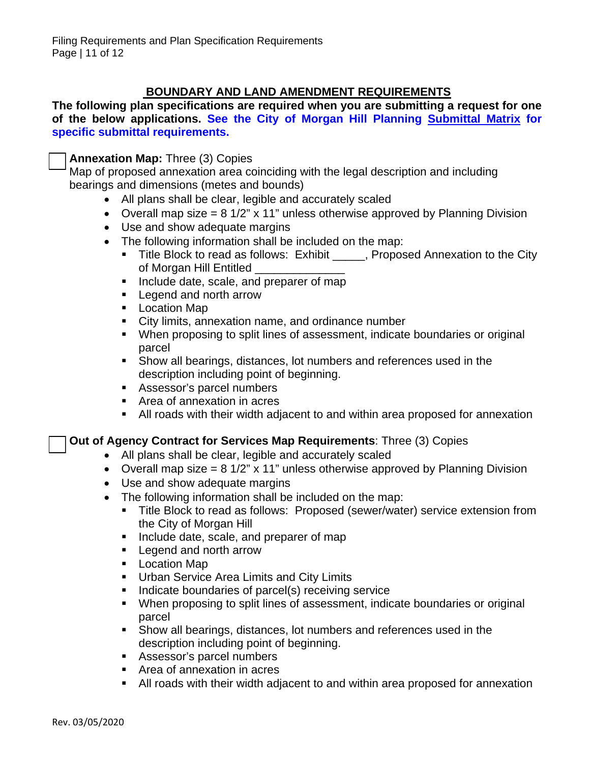# **BOUNDARY AND LAND AMENDMENT REQUIREMENTS**

**The following plan specifications are required when you are submitting a request for one of the below applications. See the City of Morgan Hill Planning Submittal Matrix for specific submittal requirements.**

Annexation Map: Three (3) Copies

Map of proposed annexation area coinciding with the legal description and including bearings and dimensions (metes and bounds)

- All plans shall be clear, legible and accurately scaled
- Overall map size =  $8 \frac{1}{2}$  x 11" unless otherwise approved by Planning Division
- Use and show adequate margins
- The following information shall be included on the map:
	- Title Block to read as follows: Exhibit Froposed Annexation to the City of Morgan Hill Entitled \_\_\_\_\_
	- Include date, scale, and preparer of map
	- **Legend and north arrow**
	- **Location Map**
	- City limits, annexation name, and ordinance number
	- When proposing to split lines of assessment, indicate boundaries or original parcel
	- Show all bearings, distances, lot numbers and references used in the description including point of beginning.
	- Assessor's parcel numbers
	- Area of annexation in acres
	- All roads with their width adjacent to and within area proposed for annexation

### **Out of Agency Contract for Services Map Requirements: Three (3) Copies**

- All plans shall be clear, legible and accurately scaled
- Overall map size =  $8 \frac{1}{2}$  x 11" unless otherwise approved by Planning Division
- Use and show adequate margins
- The following information shall be included on the map:
	- **Title Block to read as follows: Proposed (sewer/water) service extension from** the City of Morgan Hill
	- **Include date, scale, and preparer of map**
	- **Legend and north arrow**
	- **Location Map**
	- **Urban Service Area Limits and City Limits**
	- Indicate boundaries of parcel(s) receiving service
	- When proposing to split lines of assessment, indicate boundaries or original parcel
	- Show all bearings, distances, lot numbers and references used in the description including point of beginning.
	- **Assessor's parcel numbers**
	- Area of annexation in acres
	- All roads with their width adjacent to and within area proposed for annexation